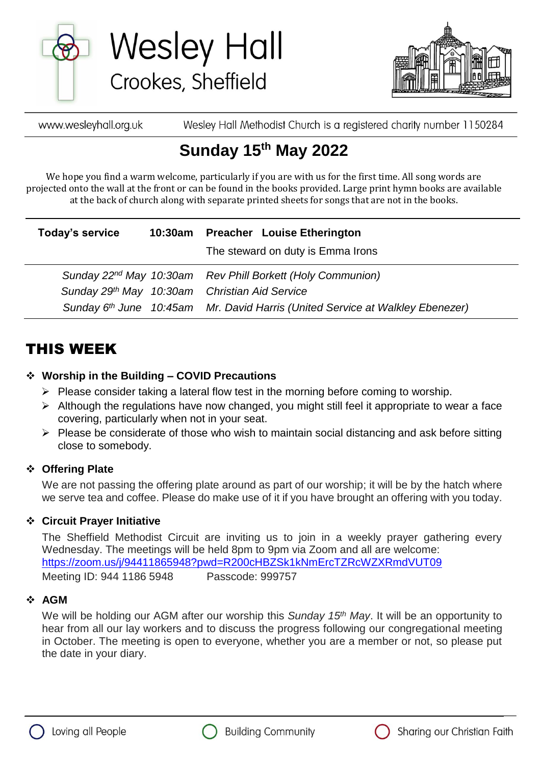

**Wesley Hall** Crookes, Sheffield



Wesley Hall Methodist Church is a registered charity number 1150284 www.wesleyhall.org.uk

# **Sunday 15th May 2022**

We hope you find a warm welcome, particularly if you are with us for the first time. All song words are projected onto the wall at the front or can be found in the books provided. Large print hymn books are available at the back of church along with separate printed sheets for songs that are not in the books.

| Today's service | 10:30am Preacher Louise Etherington<br>The steward on duty is Emma Irons                  |
|-----------------|-------------------------------------------------------------------------------------------|
|                 | Sunday 22 <sup>nd</sup> May 10:30am Rev Phill Borkett (Holy Communion)                    |
|                 | Sunday 29th May 10:30am Christian Aid Service                                             |
|                 | Sunday 6 <sup>th</sup> June 10:45am Mr. David Harris (United Service at Walkley Ebenezer) |

## THIS WEEK

### **Worship in the Building – COVID Precautions**

- $\triangleright$  Please consider taking a lateral flow test in the morning before coming to worship.
- $\triangleright$  Although the regulations have now changed, you might still feel it appropriate to wear a face covering, particularly when not in your seat.
- $\triangleright$  Please be considerate of those who wish to maintain social distancing and ask before sitting close to somebody.

### **Offering Plate**

We are not passing the offering plate around as part of our worship; it will be by the hatch where we serve tea and coffee. Please do make use of it if you have brought an offering with you today.

### **Circuit Prayer Initiative**

The Sheffield Methodist Circuit are inviting us to join in a weekly prayer gathering every Wednesday. The meetings will be held 8pm to 9pm via Zoom and all are welcome: [https://zoom.us/j/94411865948?pwd=R200cHBZSk1kNmErcTZRcWZXRmdVUT09](about:blank) Meeting ID: 944 1186 5948 Passcode: 999757

### **AGM**

We will be holding our AGM after our worship this *Sunday 15th May*. It will be an opportunity to hear from all our lay workers and to discuss the progress following our congregational meeting in October. The meeting is open to everyone, whether you are a member or not, so please put the date in your diary.





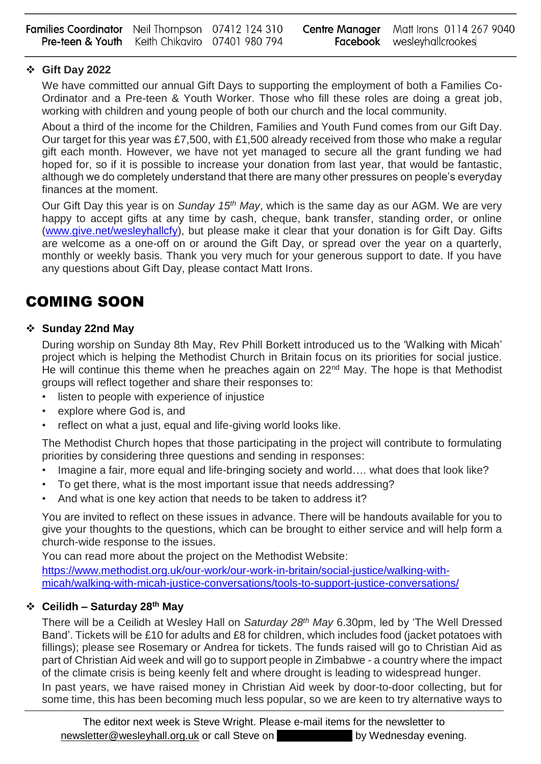| <b>Families Coordinator</b> Neil Thompson 07412 124 310   |  | <b>Centre Manager</b> Matt Irons 0114 267 9040 |
|-----------------------------------------------------------|--|------------------------------------------------|
| <b>Pre-teen &amp; Youth</b> Keith Chikaviro 07401 980 794 |  | <b>Facebook</b> wesleyhallcrookes              |

### **Gift Day 2022**

We have committed our annual Gift Days to supporting the employment of both a Families Co-Ordinator and a Pre-teen & Youth Worker. Those who fill these roles are doing a great job, working with children and young people of both our church and the local community.

About a third of the income for the Children, Families and Youth Fund comes from our Gift Day. Our target for this year was £7,500, with £1,500 already received from those who make a regular gift each month. However, we have not yet managed to secure all the grant funding we had hoped for, so if it is possible to increase your donation from last year, that would be fantastic, although we do completely understand that there are many other pressures on people's everyday finances at the moment.

Our Gift Day this year is on *Sunday 15th May*, which is the same day as our AGM. We are very happy to accept gifts at any time by cash, cheque, bank transfer, standing order, or online [\(www.give.net/wesleyhallcfy\)](about:blank), but please make it clear that your donation is for Gift Day. Gifts are welcome as a one-off on or around the Gift Day, or spread over the year on a quarterly, monthly or weekly basis. Thank you very much for your generous support to date. If you have any questions about Gift Day, please contact Matt Irons.

## COMING SOON

### **Sunday 22nd May**

During worship on Sunday 8th May, Rev Phill Borkett introduced us to the 'Walking with Micah' project which is helping the Methodist Church in Britain focus on its priorities for social justice. He will continue this theme when he preaches again on  $22<sup>nd</sup>$  May. The hope is that Methodist groups will reflect together and share their responses to:

- listen to people with experience of injustice
- explore where God is, and
- reflect on what a just, equal and life-giving world looks like.

The Methodist Church hopes that those participating in the project will contribute to formulating priorities by considering three questions and sending in responses:

- Imagine a fair, more equal and life-bringing society and world.... what does that look like?
- To get there, what is the most important issue that needs addressing?
- And what is one key action that needs to be taken to address it?

You are invited to reflect on these issues in advance. There will be handouts available for you to give your thoughts to the questions, which can be brought to either service and will help form a church-wide response to the issues.

You can read more about the project on the Methodist Website:

[https://www.methodist.org.uk/our-work/our-work-in-britain/social-justice/walking-with](https://www.methodist.org.uk/our-work/our-work-in-britain/social-justice/walking-with-micah/walking-with-micah-justice-conversations/tools-to-support-justice-conversations/)[micah/walking-with-micah-justice-conversations/tools-to-support-justice-conversations/](https://www.methodist.org.uk/our-work/our-work-in-britain/social-justice/walking-with-micah/walking-with-micah-justice-conversations/tools-to-support-justice-conversations/)

### **Ceilidh – Saturday 28th May**

There will be a Ceilidh at Wesley Hall on *Saturday 28th May* 6.30pm, led by 'The Well Dressed Band'. Tickets will be £10 for adults and £8 for children, which includes food (jacket potatoes with fillings); please see Rosemary or Andrea for tickets. The funds raised will go to Christian Aid as part of Christian Aid week and will go to support people in Zimbabwe - a country where the impact of the climate crisis is being keenly felt and where drought is leading to widespread hunger. In past years, we have raised money in Christian Aid week by door-to-door collecting, but for

some time, this has been becoming much less popular, so we are keen to try alternative ways to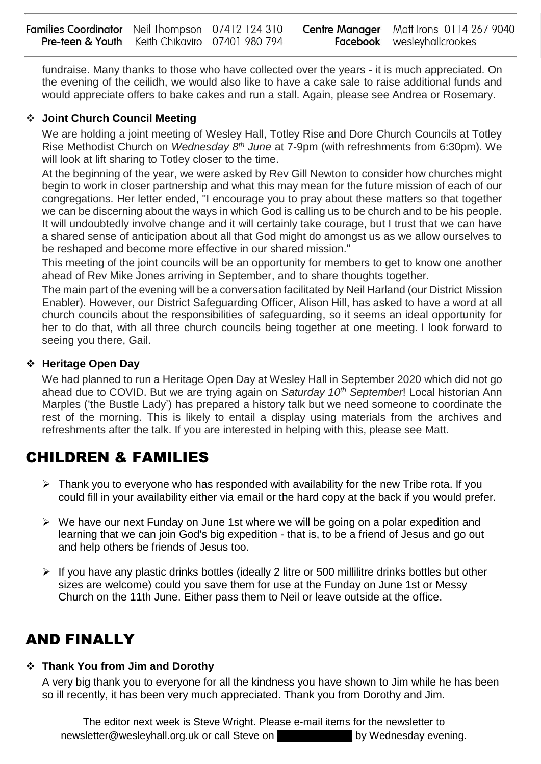fundraise. Many thanks to those who have collected over the years - it is much appreciated. On the evening of the ceilidh, we would also like to have a cake sale to raise additional funds and would appreciate offers to bake cakes and run a stall. Again, please see Andrea or Rosemary.

### **Joint Church Council Meeting**

We are holding a joint meeting of Wesley Hall, Totley Rise and Dore Church Councils at Totley Rise Methodist Church on *Wednesday 8th June* at 7-9pm (with refreshments from 6:30pm). We will look at lift sharing to Totley closer to the time.

At the beginning of the year, we were asked by Rev Gill Newton to consider how churches might begin to work in closer partnership and what this may mean for the future mission of each of our congregations. Her letter ended, "I encourage you to pray about these matters so that together we can be discerning about the ways in which God is calling us to be church and to be his people. It will undoubtedly involve change and it will certainly take courage, but I trust that we can have a shared sense of anticipation about all that God might do amongst us as we allow ourselves to be reshaped and become more effective in our shared mission."

This meeting of the joint councils will be an opportunity for members to get to know one another ahead of Rev Mike Jones arriving in September, and to share thoughts together.

The main part of the evening will be a conversation facilitated by Neil Harland (our District Mission Enabler). However, our District Safeguarding Officer, Alison Hill, has asked to have a word at all church councils about the responsibilities of safeguarding, so it seems an ideal opportunity for her to do that, with all three church councils being together at one meeting. I look forward to seeing you there, Gail.

### **Heritage Open Day**

We had planned to run a Heritage Open Day at Wesley Hall in September 2020 which did not go ahead due to COVID. But we are trying again on *Saturday 10th September*! Local historian Ann Marples ('the Bustle Lady') has prepared a history talk but we need someone to coordinate the rest of the morning. This is likely to entail a display using materials from the archives and refreshments after the talk. If you are interested in helping with this, please see Matt.

## CHILDREN & FAMILIES

- $\triangleright$  Thank you to everyone who has responded with availability for the new Tribe rota. If you could fill in your availability either via email or the hard copy at the back if you would prefer.
- $\triangleright$  We have our next Funday on June 1st where we will be going on a polar expedition and learning that we can join God's big expedition - that is, to be a friend of Jesus and go out and help others be friends of Jesus too.
- $\triangleright$  If you have any plastic drinks bottles (ideally 2 litre or 500 millilitre drinks bottles but other sizes are welcome) could you save them for use at the Funday on June 1st or Messy Church on the 11th June. Either pass them to Neil or leave outside at the office.

## AND FINALLY

### **Thank You from Jim and Dorothy**

A very big thank you to everyone for all the kindness you have shown to Jim while he has been so ill recently, it has been very much appreciated. Thank you from Dorothy and Jim.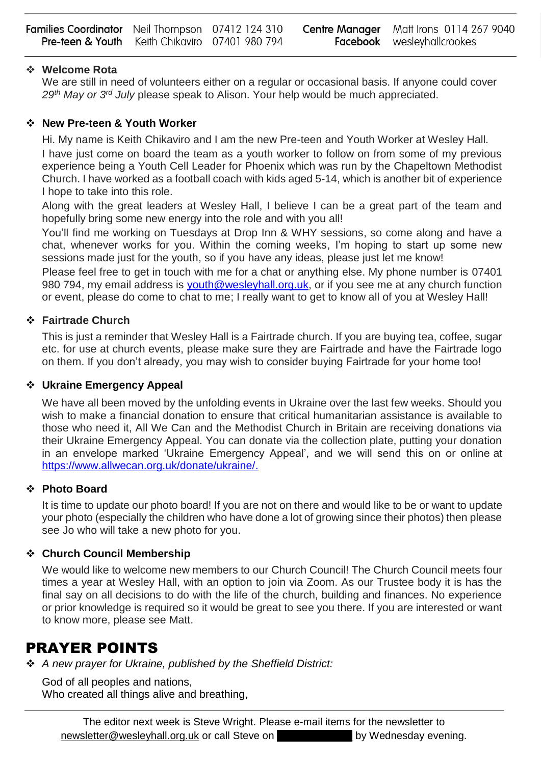| <b>Families Coordinator</b> Neil Thompson 07412 124 310   |  | <b>Centre Manager</b> Matt Irons 0114 267 9040 |
|-----------------------------------------------------------|--|------------------------------------------------|
| <b>Pre-teen &amp; Youth</b> Keith Chikaviro 07401 980 794 |  | <b>Facebook</b> wesleyhallcrookes              |

### **Welcome Rota**

We are still in need of volunteers either on a regular or occasional basis. If anyone could cover *29th May or 3rd July* please speak to Alison. Your help would be much appreciated.

### **New Pre-teen & Youth Worker**

Hi. My name is Keith Chikaviro and I am the new Pre-teen and Youth Worker at Wesley Hall.

I have just come on board the team as a youth worker to follow on from some of my previous experience being a Youth Cell Leader for Phoenix which was run by the Chapeltown Methodist Church. I have worked as a football coach with kids aged 5-14, which is another bit of experience I hope to take into this role.

Along with the great leaders at Wesley Hall, I believe I can be a great part of the team and hopefully bring some new energy into the role and with you all!

You'll find me working on Tuesdays at Drop Inn & WHY sessions, so come along and have a chat, whenever works for you. Within the coming weeks, I'm hoping to start up some new sessions made just for the youth, so if you have any ideas, please just let me know!

Please feel free to get in touch with me for a chat or anything else. My phone number is 07401 980 794, my email address is [youth@wesleyhall.org.uk,](mailto:youth@wesleyhall.org.uk) or if you see me at any church function or event, please do come to chat to me; I really want to get to know all of you at Wesley Hall!

### **Fairtrade Church**

This is just a reminder that Wesley Hall is a Fairtrade church. If you are buying tea, coffee, sugar etc. for use at church events, please make sure they are Fairtrade and have the Fairtrade logo on them. If you don't already, you may wish to consider buying Fairtrade for your home too!

### **Ukraine Emergency Appeal**

We have all been moved by the unfolding events in Ukraine over the last few weeks. Should you wish to make a financial donation to ensure that critical humanitarian assistance is available to those who need it, All We Can and the Methodist Church in Britain are receiving donations via their Ukraine Emergency Appeal. You can donate via the collection plate, putting your donation in an envelope marked 'Ukraine Emergency Appeal', and we will send this on or online at [https://www.allwecan.org.uk/donate/ukraine/.](about:blank)

### **Photo Board**

It is time to update our photo board! If you are not on there and would like to be or want to update your photo (especially the children who have done a lot of growing since their photos) then please see Jo who will take a new photo for you.

### **Church Council Membership**

We would like to welcome new members to our Church Council! The Church Council meets four times a year at Wesley Hall, with an option to join via Zoom. As our Trustee body it is has the final say on all decisions to do with the life of the church, building and finances. No experience or prior knowledge is required so it would be great to see you there. If you are interested or want to know more, please see Matt.

### PRAYER POINTS

*A new prayer for Ukraine, published by the Sheffield District:*

God of all peoples and nations, Who created all things alive and breathing,